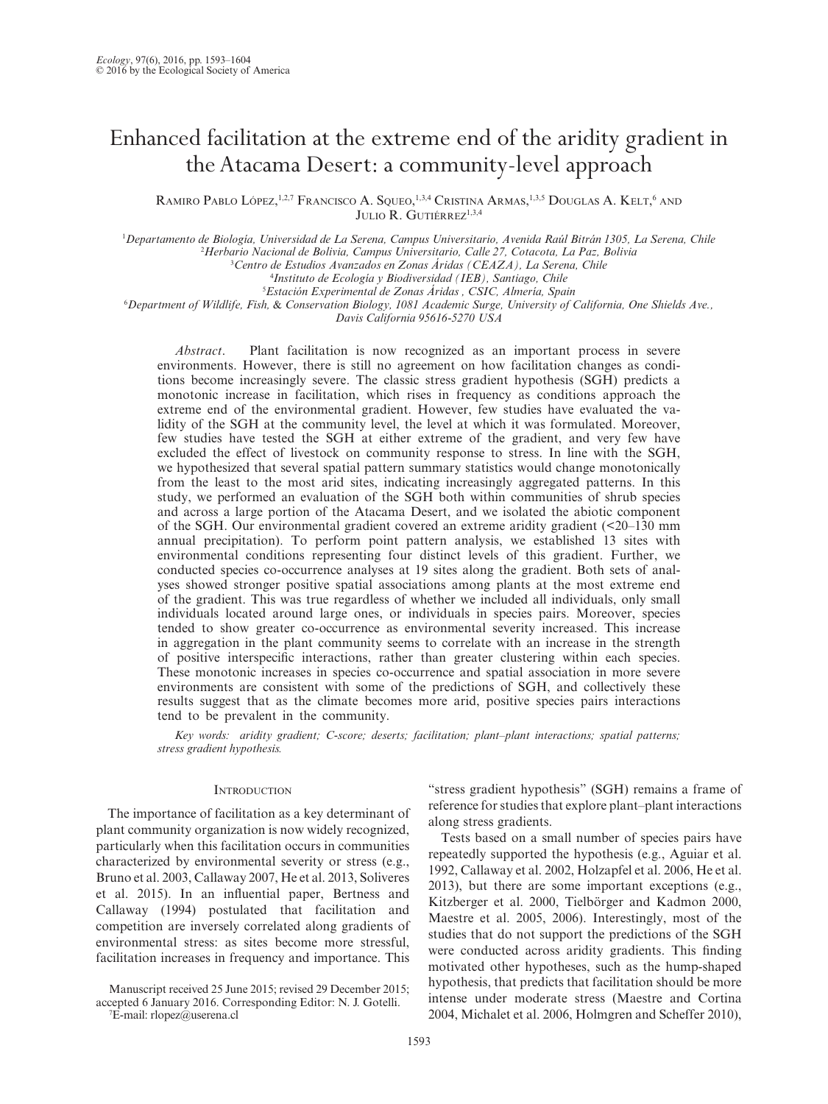# Enhanced facilitation at the extreme end of the aridity gradient in the Atacama Desert: a community-level approach

RAMIRO PABLO LÓPEZ,<sup>1,2,7</sup> Francisco A. Squeo,<sup>1,3,4</sup> Cristina Armas,<sup>1,3,5</sup> Douglas A. Kelt,<sup>6</sup> an JULIO R. GUTIÉRREZ<sup>1,3,4</sup>

 *Departamento de Biología, Universidad de La Serena, Campus Universitario, Avenida Raúl Bitrán 1305, La Serena, Chile Herbario Nacional de Bolivia, Campus Universitario, Calle 27, Cotacota, La Paz, Bolivia Centro de Estudios Avanzados en Zonas Áridas (CEAZA), La Serena, Chile Instituto de Ecología y Biodiversidad (IEB), Santiago, Chile Estación Experimental de Zonas Áridas , CSIC, Almería, Spain Department of Wildlife, Fish,* & *Conservation Biology, 1081 Academic Surge, University of California, One Shields Ave.,* 

*Davis California 95616-5270 USA*

*Abstract*. Plant facilitation is now recognized as an important process in severe environments. However, there is still no agreement on how facilitation changes as conditions become increasingly severe. The classic stress gradient hypothesis (SGH) predicts a monotonic increase in facilitation, which rises in frequency as conditions approach the extreme end of the environmental gradient. However, few studies have evaluated the validity of the SGH at the community level, the level at which it was formulated. Moreover, few studies have tested the SGH at either extreme of the gradient, and very few have excluded the effect of livestock on community response to stress. In line with the SGH, we hypothesized that several spatial pattern summary statistics would change monotonically from the least to the most arid sites, indicating increasingly aggregated patterns. In this study, we performed an evaluation of the SGH both within communities of shrub species and across a large portion of the Atacama Desert, and we isolated the abiotic component of the SGH. Our environmental gradient covered an extreme aridity gradient (<20–130 mm annual precipitation). To perform point pattern analysis, we established 13 sites with environmental conditions representing four distinct levels of this gradient. Further, we conducted species co-occurrence analyses at 19 sites along the gradient. Both sets of analyses showed stronger positive spatial associations among plants at the most extreme end of the gradient. This was true regardless of whether we included all individuals, only small individuals located around large ones, or individuals in species pairs. Moreover, species tended to show greater co-occurrence as environmental severity increased. This increase in aggregation in the plant community seems to correlate with an increase in the strength of positive interspecific interactions, rather than greater clustering within each species. These monotonic increases in species co-occurrence and spatial association in more severe environments are consistent with some of the predictions of SGH, and collectively these results suggest that as the climate becomes more arid, positive species pairs interactions tend to be prevalent in the community.

*Key words: aridity gradient; C-score; deserts; facilitation; plant–plant interactions; spatial patterns; stress gradient hypothesis.*

# **INTRODUCTION**

The importance of facilitation as a key determinant of plant community organization is now widely recognized, particularly when this facilitation occurs in communities characterized by environmental severity or stress (e.g., Bruno et al. 2003, Callaway 2007, He et al. 2013, Soliveres et al. 2015). In an influential paper, Bertness and Callaway (1994) postulated that facilitation and competition are inversely correlated along gradients of environmental stress: as sites become more stressful, facilitation increases in frequency and importance. This "stress gradient hypothesis" (SGH) remains a frame of reference for studies that explore plant–plant interactions along stress gradients.

Tests based on a small number of species pairs have repeatedly supported the hypothesis (e.g., Aguiar et al. 1992, Callaway et al. 2002, Holzapfel et al. 2006, He et al. 2013), but there are some important exceptions (e.g., Kitzberger et al. 2000, Tielbörger and Kadmon 2000, Maestre et al. 2005, 2006). Interestingly, most of the studies that do not support the predictions of the SGH were conducted across aridity gradients. This finding motivated other hypotheses, such as the hump-shaped hypothesis, that predicts that facilitation should be more intense under moderate stress (Maestre and Cortina 2004, Michalet et al. 2006, Holmgren and Scheffer 2010),

Manuscript received 25 June 2015; revised 29 December 2015; accepted 6 January 2016. Corresponding Editor: N. J. Gotelli.

<sup>7</sup> E-mail: [rlopez@userena.cl](mailto:rlopez@userena.cl)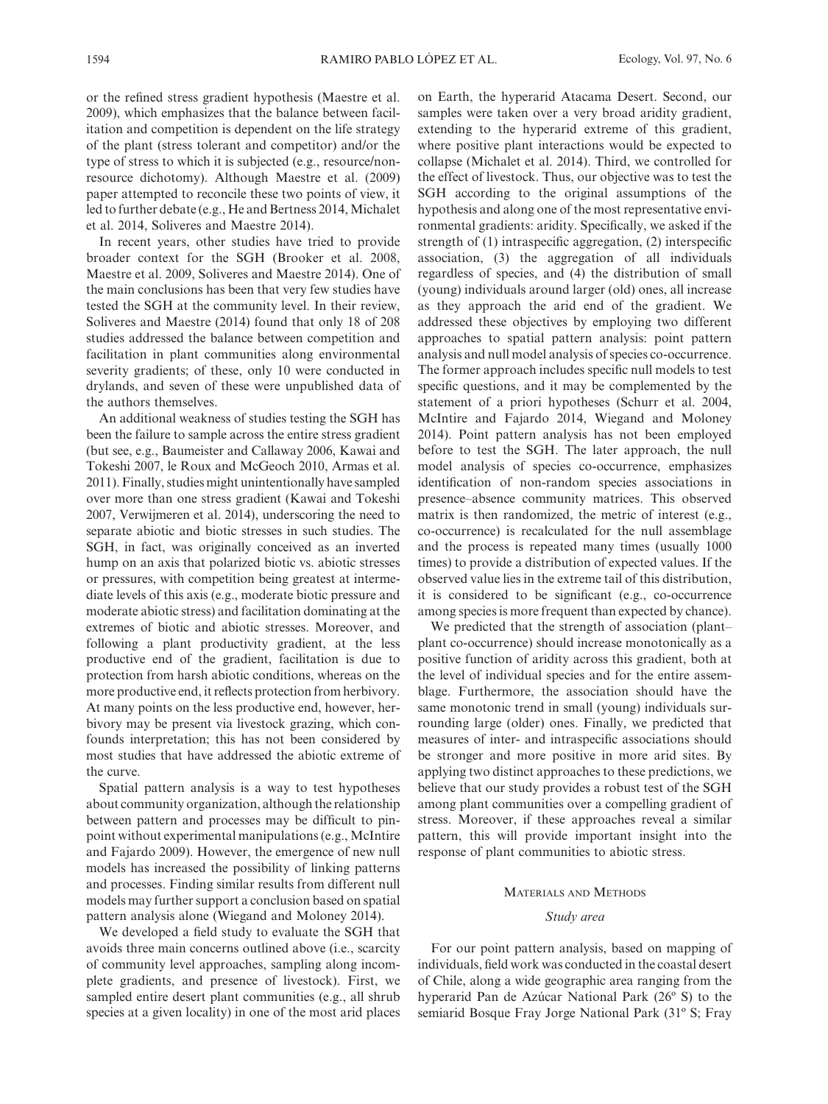or the refined stress gradient hypothesis (Maestre et al. 2009), which emphasizes that the balance between facilitation and competition is dependent on the life strategy of the plant (stress tolerant and competitor) and/or the type of stress to which it is subjected (e.g., resource/nonresource dichotomy). Although Maestre et al. (2009) paper attempted to reconcile these two points of view, it led to further debate (e.g., He and Bertness 2014, Michalet et al. 2014, Soliveres and Maestre 2014).

In recent years, other studies have tried to provide broader context for the SGH (Brooker et al. 2008, Maestre et al. 2009, Soliveres and Maestre 2014). One of the main conclusions has been that very few studies have tested the SGH at the community level. In their review, Soliveres and Maestre (2014) found that only 18 of 208 studies addressed the balance between competition and facilitation in plant communities along environmental severity gradients; of these, only 10 were conducted in drylands, and seven of these were unpublished data of the authors themselves.

An additional weakness of studies testing the SGH has been the failure to sample across the entire stress gradient (but see, e.g., Baumeister and Callaway 2006, Kawai and Tokeshi 2007, le Roux and McGeoch 2010, Armas et al. 2011). Finally, studies might unintentionally have sampled over more than one stress gradient (Kawai and Tokeshi 2007, Verwijmeren et al. 2014), underscoring the need to separate abiotic and biotic stresses in such studies. The SGH, in fact, was originally conceived as an inverted hump on an axis that polarized biotic vs. abiotic stresses or pressures, with competition being greatest at intermediate levels of this axis (e.g., moderate biotic pressure and moderate abiotic stress) and facilitation dominating at the extremes of biotic and abiotic stresses. Moreover, and following a plant productivity gradient, at the less productive end of the gradient, facilitation is due to protection from harsh abiotic conditions, whereas on the more productive end, it reflects protection from herbivory. At many points on the less productive end, however, herbivory may be present via livestock grazing, which confounds interpretation; this has not been considered by most studies that have addressed the abiotic extreme of the curve.

Spatial pattern analysis is a way to test hypotheses about community organization, although the relationship between pattern and processes may be difficult to pinpoint without experimental manipulations (e.g., McIntire and Fajardo 2009). However, the emergence of new null models has increased the possibility of linking patterns and processes. Finding similar results from different null models may further support a conclusion based on spatial pattern analysis alone (Wiegand and Moloney 2014).

We developed a field study to evaluate the SGH that avoids three main concerns outlined above (i.e., scarcity of community level approaches, sampling along incomplete gradients, and presence of livestock). First, we sampled entire desert plant communities (e.g., all shrub species at a given locality) in one of the most arid places

on Earth, the hyperarid Atacama Desert. Second, our samples were taken over a very broad aridity gradient, extending to the hyperarid extreme of this gradient, where positive plant interactions would be expected to collapse (Michalet et al. 2014). Third, we controlled for the effect of livestock. Thus, our objective was to test the SGH according to the original assumptions of the hypothesis and along one of the most representative environmental gradients: aridity. Specifically, we asked if the strength of (1) intraspecific aggregation, (2) interspecific association, (3) the aggregation of all individuals regardless of species, and (4) the distribution of small (young) individuals around larger (old) ones, all increase as they approach the arid end of the gradient. We addressed these objectives by employing two different approaches to spatial pattern analysis: point pattern analysis and null model analysis of species co-occurrence. The former approach includes specific null models to test specific questions, and it may be complemented by the statement of a priori hypotheses (Schurr et al. 2004, McIntire and Fajardo 2014, Wiegand and Moloney 2014). Point pattern analysis has not been employed before to test the SGH. The later approach, the null model analysis of species co-occurrence, emphasizes identification of non-random species associations in presence–absence community matrices. This observed matrix is then randomized, the metric of interest (e.g., co-occurrence) is recalculated for the null assemblage and the process is repeated many times (usually 1000 times) to provide a distribution of expected values. If the observed value lies in the extreme tail of this distribution, it is considered to be significant (e.g., co-occurrence among species is more frequent than expected by chance).

We predicted that the strength of association (plant– plant co-occurrence) should increase monotonically as a positive function of aridity across this gradient, both at the level of individual species and for the entire assemblage. Furthermore, the association should have the same monotonic trend in small (young) individuals surrounding large (older) ones. Finally, we predicted that measures of inter- and intraspecific associations should be stronger and more positive in more arid sites. By applying two distinct approaches to these predictions, we believe that our study provides a robust test of the SGH among plant communities over a compelling gradient of stress. Moreover, if these approaches reveal a similar pattern, this will provide important insight into the response of plant communities to abiotic stress.

# Materials and Methods

## *Study area*

For our point pattern analysis, based on mapping of individuals, field work was conducted in the coastal desert of Chile, along a wide geographic area ranging from the hyperarid Pan de Azúcar National Park (26º S) to the semiarid Bosque Fray Jorge National Park (31º S; Fray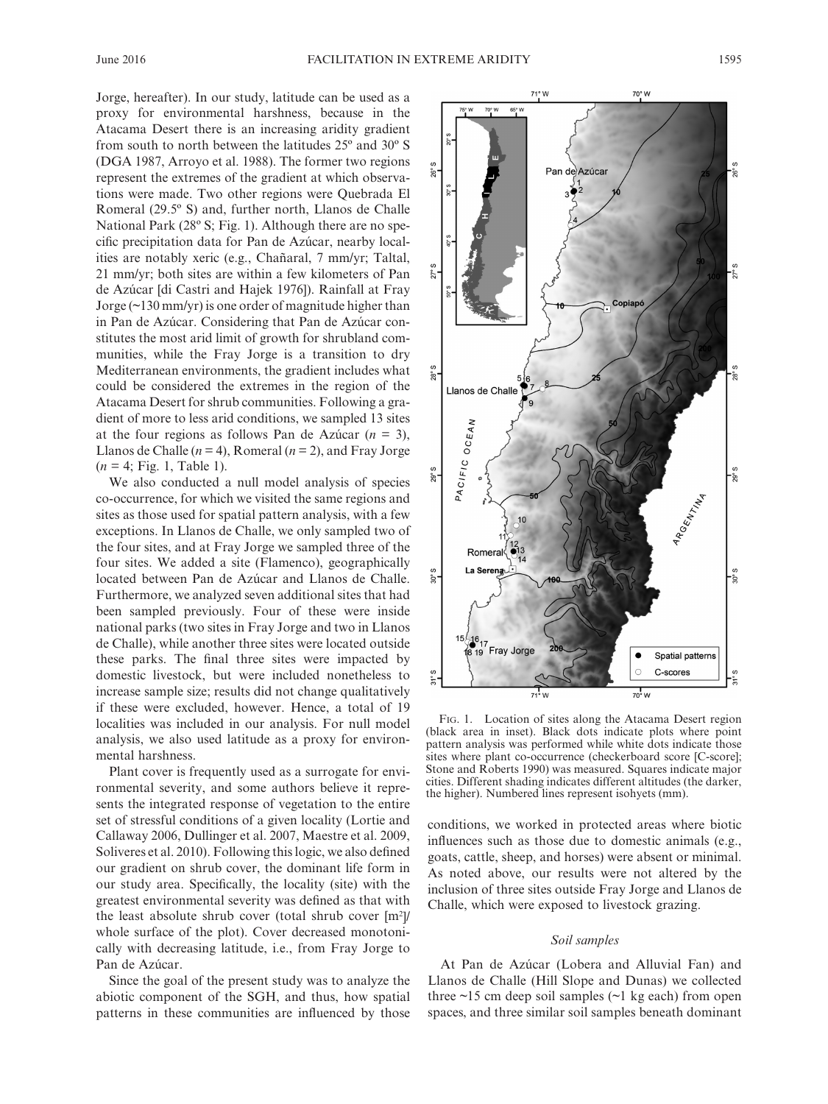Jorge, hereafter). In our study, latitude can be used as a proxy for environmental harshness, because in the Atacama Desert there is an increasing aridity gradient from south to north between the latitudes 25º and 30º S (DGA 1987, Arroyo et al. 1988). The former two regions represent the extremes of the gradient at which observations were made. Two other regions were Quebrada El Romeral (29.5º S) and, further north, Llanos de Challe National Park (28º S; Fig. 1). Although there are no specific precipitation data for Pan de Azúcar, nearby localities are notably xeric (e.g., Chañaral, 7 mm/yr; Taltal, 21 mm/yr; both sites are within a few kilometers of Pan de Azúcar [di Castri and Hajek 1976]). Rainfall at Fray Jorge (~130 mm/yr) is one order of magnitude higher than in Pan de Azúcar. Considering that Pan de Azúcar constitutes the most arid limit of growth for shrubland communities, while the Fray Jorge is a transition to dry Mediterranean environments, the gradient includes what could be considered the extremes in the region of the Atacama Desert for shrub communities. Following a gradient of more to less arid conditions, we sampled 13 sites at the four regions as follows Pan de Azúcar  $(n = 3)$ , Llanos de Challe  $(n = 4)$ , Romeral  $(n = 2)$ , and Fray Jorge  $(n = 4; Fig. 1, Table 1).$ 

We also conducted a null model analysis of species co-occurrence, for which we visited the same regions and sites as those used for spatial pattern analysis, with a few exceptions. In Llanos de Challe, we only sampled two of the four sites, and at Fray Jorge we sampled three of the four sites. We added a site (Flamenco), geographically located between Pan de Azúcar and Llanos de Challe. Furthermore, we analyzed seven additional sites that had been sampled previously. Four of these were inside national parks (two sites in Fray Jorge and two in Llanos de Challe), while another three sites were located outside these parks. The final three sites were impacted by domestic livestock, but were included nonetheless to increase sample size; results did not change qualitatively if these were excluded, however. Hence, a total of 19 localities was included in our analysis. For null model analysis, we also used latitude as a proxy for environmental harshness.

Plant cover is frequently used as a surrogate for environmental severity, and some authors believe it represents the integrated response of vegetation to the entire set of stressful conditions of a given locality (Lortie and Callaway 2006, Dullinger et al. 2007, Maestre et al. 2009, Soliveres et al. 2010). Following this logic, we also defined our gradient on shrub cover, the dominant life form in our study area. Specifically, the locality (site) with the greatest environmental severity was defined as that with the least absolute shrub cover (total shrub cover [m2 ]/ whole surface of the plot). Cover decreased monotonically with decreasing latitude, i.e., from Fray Jorge to Pan de Azúcar.

Since the goal of the present study was to analyze the abiotic component of the SGH, and thus, how spatial patterns in these communities are influenced by those

(black area in inset). Black dots indicate plots where point pattern analysis was performed while white dots indicate those sites where plant co-occurrence (checkerboard score [C-score]; Stone and Roberts 1990) was measured. Squares indicate major cities. Different shading indicates different altitudes (the darker, the higher). Numbered lines represent isohyets (mm).

conditions, we worked in protected areas where biotic influences such as those due to domestic animals (e.g., goats, cattle, sheep, and horses) were absent or minimal. As noted above, our results were not altered by the inclusion of three sites outside Fray Jorge and Llanos de Challe, which were exposed to livestock grazing.

## *Soil samples*

At Pan de Azúcar (Lobera and Alluvial Fan) and Llanos de Challe (Hill Slope and Dunas) we collected three  $\sim$ 15 cm deep soil samples ( $\sim$ 1 kg each) from open spaces, and three similar soil samples beneath dominant

17<br>9 Fray Jorge 19 Spatial patterns  $\bullet$  $\circ$ C-scores  $70^{\circ}$  W Fig. 1. Location of sites along the Atacama Desert region

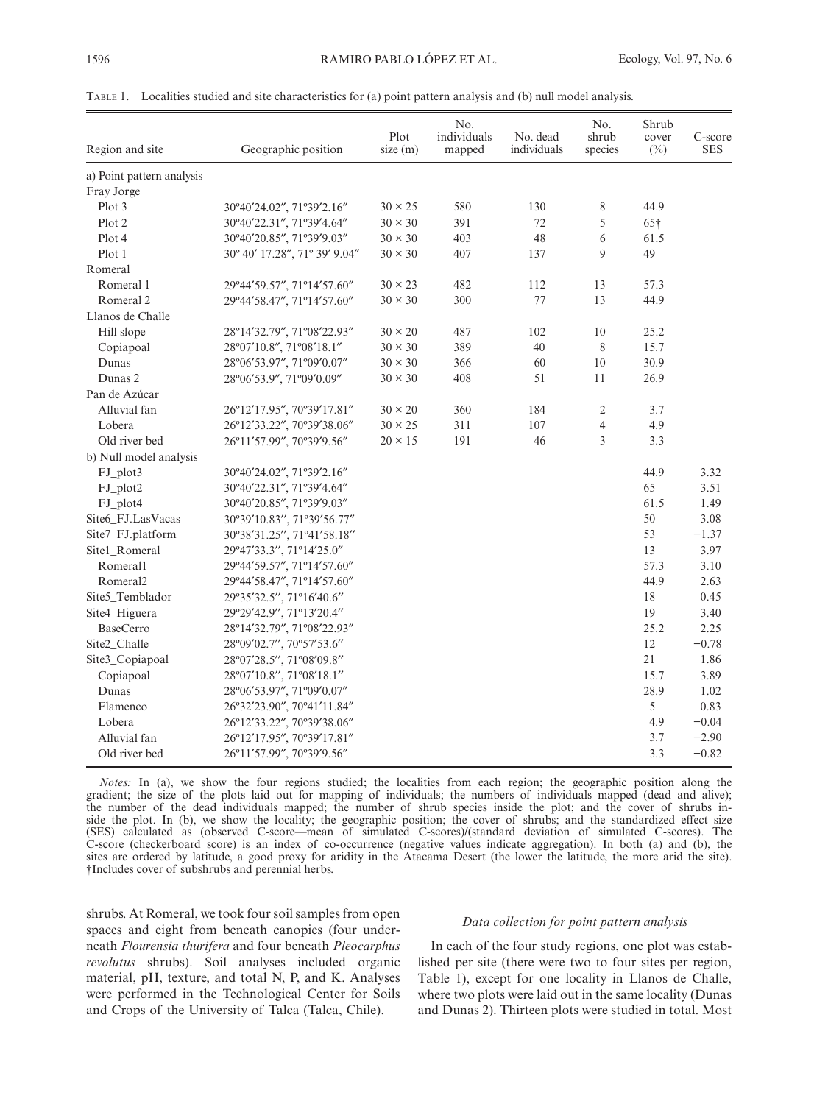| Region and site           | Geographic position           | Plot<br>size(m) | No.<br>individuals<br>mapped | No. dead<br>individuals | No.<br>shrub<br>species | Shrub<br>cover<br>$(\%)$ | C-score<br><b>SES</b> |
|---------------------------|-------------------------------|-----------------|------------------------------|-------------------------|-------------------------|--------------------------|-----------------------|
| a) Point pattern analysis |                               |                 |                              |                         |                         |                          |                       |
| Fray Jorge                |                               |                 |                              |                         |                         |                          |                       |
| Plot 3                    | 30°40'24.02", 71°39'2.16"     | $30 \times 25$  | 580                          | 130                     | 8                       | 44.9                     |                       |
| Plot 2                    | 30°40'22.31", 71°39'4.64"     | $30 \times 30$  | 391                          | 72                      | 5                       | 65†                      |                       |
| Plot 4                    | 30°40'20.85", 71°39'9.03"     | $30 \times 30$  | 403                          | 48                      | 6                       | 61.5                     |                       |
| Plot 1                    | 30° 40' 17.28", 71° 39' 9.04" | $30 \times 30$  | 407                          | 137                     | 9                       | 49                       |                       |
| Romeral                   |                               |                 |                              |                         |                         |                          |                       |
| Romeral 1                 | 29°44'59.57", 71°14'57.60"    | $30 \times 23$  | 482                          | 112                     | 13                      | 57.3                     |                       |
| Romeral 2                 | 29°44'58.47", 71°14'57.60"    | $30 \times 30$  | 300                          | 77                      | 13                      | 44.9                     |                       |
| Llanos de Challe          |                               |                 |                              |                         |                         |                          |                       |
| Hill slope                | 28°14'32.79", 71°08'22.93"    | $30 \times 20$  | 487                          | 102                     | 10                      | 25.2                     |                       |
| Copiapoal                 | 28°07'10.8", 71°08'18.1"      | $30 \times 30$  | 389                          | 40                      | 8                       | 15.7                     |                       |
| Dunas                     | 28°06'53.97", 71°09'0.07"     | $30 \times 30$  | 366                          | 60                      | 10                      | 30.9                     |                       |
| Dunas <sub>2</sub>        | 28°06'53.9", 71°09'0.09"      | $30 \times 30$  | 408                          | 51                      | 11                      | 26.9                     |                       |
| Pan de Azúcar             |                               |                 |                              |                         |                         |                          |                       |
| Alluvial fan              | 26°12'17.95", 70°39'17.81"    | $30 \times 20$  | 360                          | 184                     | $\overline{2}$          | 3.7                      |                       |
| Lobera                    | 26°12'33.22", 70°39'38.06"    | $30 \times 25$  | 311                          | 107                     | $\overline{4}$          | 4.9                      |                       |
| Old river bed             | 26°11'57.99", 70°39'9.56"     | $20 \times 15$  | 191                          | 46                      | 3                       | 3.3                      |                       |
| b) Null model analysis    |                               |                 |                              |                         |                         |                          |                       |
| FJ_plot3                  | 30°40'24.02", 71°39'2.16"     |                 |                              |                         |                         | 44.9                     | 3.32                  |
| FJ_plot2                  | 30°40'22.31", 71°39'4.64"     |                 |                              |                         |                         | 65                       | 3.51                  |
| FJ_plot4                  | 30°40'20.85", 71°39'9.03"     |                 |                              |                         |                         | 61.5                     | 1.49                  |
| Site6_FJ.LasVacas         | 30°39'10.83", 71°39'56.77"    |                 |                              |                         |                         | 50                       | 3.08                  |
| Site7_FJ.platform         | 30°38'31.25", 71°41'58.18"    |                 |                              |                         |                         | 53                       | $-1.37$               |
| Site1_Romeral             | 29°47'33.3", 71°14'25.0"      |                 |                              |                         |                         | 13                       | 3.97                  |
| Romeral1                  | 29°44'59.57", 71°14'57.60"    |                 |                              |                         |                         | 57.3                     | 3.10                  |
| Romeral <sub>2</sub>      | 29°44'58.47", 71°14'57.60"    |                 |                              |                         |                         | 44.9                     | 2.63                  |
| Site5_Temblador           | 29°35'32.5", 71°16'40.6"      |                 |                              |                         |                         | 18                       | 0.45                  |
| Site4_Higuera             | 29°29'42.9", 71°13'20.4"      |                 |                              |                         |                         | 19                       | 3.40                  |
| <b>BaseCerro</b>          | 28°14'32.79", 71°08'22.93"    |                 |                              |                         |                         | 25.2                     | 2.25                  |
| Site2_Challe              | 28°09'02.7", 70°57'53.6"      |                 |                              |                         |                         | 12                       | $-0.78$               |
| Site3_Copiapoal           | 28°07'28.5", 71°08'09.8"      |                 |                              |                         |                         | 21                       | 1.86                  |
| Copiapoal                 | 28°07'10.8", 71°08'18.1"      |                 |                              |                         |                         | 15.7                     | 3.89                  |
| Dunas                     | 28°06'53.97", 71°09'0.07"     |                 |                              |                         |                         | 28.9                     | 1.02                  |
| Flamenco                  | 26°32'23.90", 70°41'11.84"    |                 |                              |                         |                         | 5                        | 0.83                  |
| Lobera                    | 26°12'33.22", 70°39'38.06"    |                 |                              |                         |                         | 4.9                      | $-0.04$               |
| Alluvial fan              | 26°12'17.95", 70°39'17.81"    |                 |                              |                         |                         | 3.7                      | $-2.90$               |
| Old river bed             | 26°11'57.99", 70°39'9.56"     |                 |                              |                         |                         | 3.3                      | $-0.82$               |

Table 1. Localities studied and site characteristics for (a) point pattern analysis and (b) null model analysis.

*Notes:* In (a), we show the four regions studied; the localities from each region; the geographic position along the gradient; the size of the plots laid out for mapping of individuals; the numbers of individuals mapped (dead and alive); the number of the dead individuals mapped; the number of shrub species inside the plot; and the cover of shrubs inside the plot. In (b), we show the locality; the geographic position; the cover of shrubs; and the standardized effect size (SES) calculated as (observed C-score—mean of simulated C-scores)/(standard deviation of simulated C-scores). The C-score (checkerboard score) is an index of co-occurrence (negative values indicate aggregation). In both (a) and (b), the sites are ordered by latitude, a good proxy for aridity in the Atacama Desert (the lower the latitude, the more arid the site). †Includes cover of subshrubs and perennial herbs.

shrubs. At Romeral, we took four soil samples from open spaces and eight from beneath canopies (four underneath *Flourensia thurifera* and four beneath *Pleocarphus revolutus* shrubs). Soil analyses included organic material, pH, texture, and total N, P, and K. Analyses were performed in the Technological Center for Soils and Crops of the University of Talca (Talca, Chile).

# *Data collection for point pattern analysis*

In each of the four study regions, one plot was established per site (there were two to four sites per region, Table 1), except for one locality in Llanos de Challe, where two plots were laid out in the same locality (Dunas and Dunas 2). Thirteen plots were studied in total. Most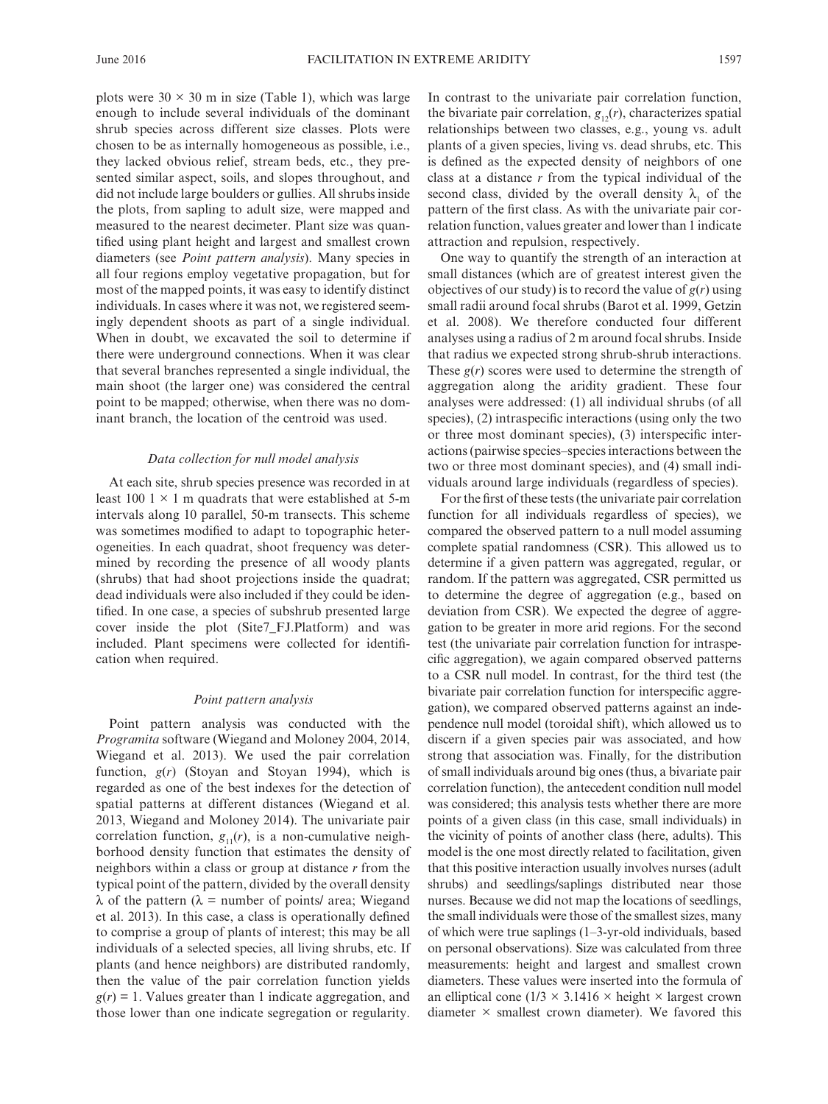plots were  $30 \times 30$  m in size (Table 1), which was large enough to include several individuals of the dominant shrub species across different size classes. Plots were chosen to be as internally homogeneous as possible, i.e., they lacked obvious relief, stream beds, etc., they presented similar aspect, soils, and slopes throughout, and did not include large boulders or gullies. All shrubs inside the plots, from sapling to adult size, were mapped and measured to the nearest decimeter. Plant size was quantified using plant height and largest and smallest crown diameters (see *Point pattern analysis*). Many species in all four regions employ vegetative propagation, but for most of the mapped points, it was easy to identify distinct individuals. In cases where it was not, we registered seemingly dependent shoots as part of a single individual. When in doubt, we excavated the soil to determine if there were underground connections. When it was clear that several branches represented a single individual, the main shoot (the larger one) was considered the central point to be mapped; otherwise, when there was no dominant branch, the location of the centroid was used.

## *Data collection for null model analysis*

At each site, shrub species presence was recorded in at least 100 1  $\times$  1 m quadrats that were established at 5-m intervals along 10 parallel, 50-m transects. This scheme was sometimes modified to adapt to topographic heterogeneities. In each quadrat, shoot frequency was determined by recording the presence of all woody plants (shrubs) that had shoot projections inside the quadrat; dead individuals were also included if they could be identified. In one case, a species of subshrub presented large cover inside the plot (Site7\_FJ.Platform) and was included. Plant specimens were collected for identification when required.

## *Point pattern analysis*

Point pattern analysis was conducted with the *Programita* software (Wiegand and Moloney 2004, 2014, Wiegand et al. 2013). We used the pair correlation function, *g*(*r*) (Stoyan and Stoyan 1994), which is regarded as one of the best indexes for the detection of spatial patterns at different distances (Wiegand et al. 2013, Wiegand and Moloney 2014). The univariate pair correlation function,  $g_{11}(r)$ , is a non-cumulative neighborhood density function that estimates the density of neighbors within a class or group at distance *r* from the typical point of the pattern, divided by the overall density  $λ$  of the pattern ( $λ$  = number of points/ area; Wiegand et al. 2013). In this case, a class is operationally defined to comprise a group of plants of interest; this may be all individuals of a selected species, all living shrubs, etc. If plants (and hence neighbors) are distributed randomly, then the value of the pair correlation function yields  $g(r) = 1$ . Values greater than 1 indicate aggregation, and those lower than one indicate segregation or regularity. In contrast to the univariate pair correlation function, the bivariate pair correlation,  $g_{12}(r)$ , characterizes spatial relationships between two classes, e.g., young vs. adult plants of a given species, living vs. dead shrubs, etc. This is defined as the expected density of neighbors of one class at a distance *r* from the typical individual of the second class, divided by the overall density  $\lambda_1$  of the pattern of the first class. As with the univariate pair correlation function, values greater and lower than 1 indicate attraction and repulsion, respectively.

One way to quantify the strength of an interaction at small distances (which are of greatest interest given the objectives of our study) is to record the value of  $g(r)$  using small radii around focal shrubs (Barot et al. 1999, Getzin et al. 2008). We therefore conducted four different analyses using a radius of 2 m around focal shrubs. Inside that radius we expected strong shrub-shrub interactions. These *g*(*r*) scores were used to determine the strength of aggregation along the aridity gradient. These four analyses were addressed: (1) all individual shrubs (of all species), (2) intraspecific interactions (using only the two or three most dominant species), (3) interspecific interactions (pairwise species–species interactions between the two or three most dominant species), and (4) small individuals around large individuals (regardless of species).

For the first of these tests (the univariate pair correlation function for all individuals regardless of species), we compared the observed pattern to a null model assuming complete spatial randomness (CSR). This allowed us to determine if a given pattern was aggregated, regular, or random. If the pattern was aggregated, CSR permitted us to determine the degree of aggregation (e.g., based on deviation from CSR). We expected the degree of aggregation to be greater in more arid regions. For the second test (the univariate pair correlation function for intraspecific aggregation), we again compared observed patterns to a CSR null model. In contrast, for the third test (the bivariate pair correlation function for interspecific aggregation), we compared observed patterns against an independence null model (toroidal shift), which allowed us to discern if a given species pair was associated, and how strong that association was. Finally, for the distribution of small individuals around big ones (thus, a bivariate pair correlation function), the antecedent condition null model was considered; this analysis tests whether there are more points of a given class (in this case, small individuals) in the vicinity of points of another class (here, adults). This model is the one most directly related to facilitation, given that this positive interaction usually involves nurses (adult shrubs) and seedlings/saplings distributed near those nurses. Because we did not map the locations of seedlings, the small individuals were those of the smallest sizes, many of which were true saplings (1–3-yr-old individuals, based on personal observations). Size was calculated from three measurements: height and largest and smallest crown diameters. These values were inserted into the formula of an elliptical cone ( $1/3 \times 3.1416 \times$  height  $\times$  largest crown diameter  $\times$  smallest crown diameter). We favored this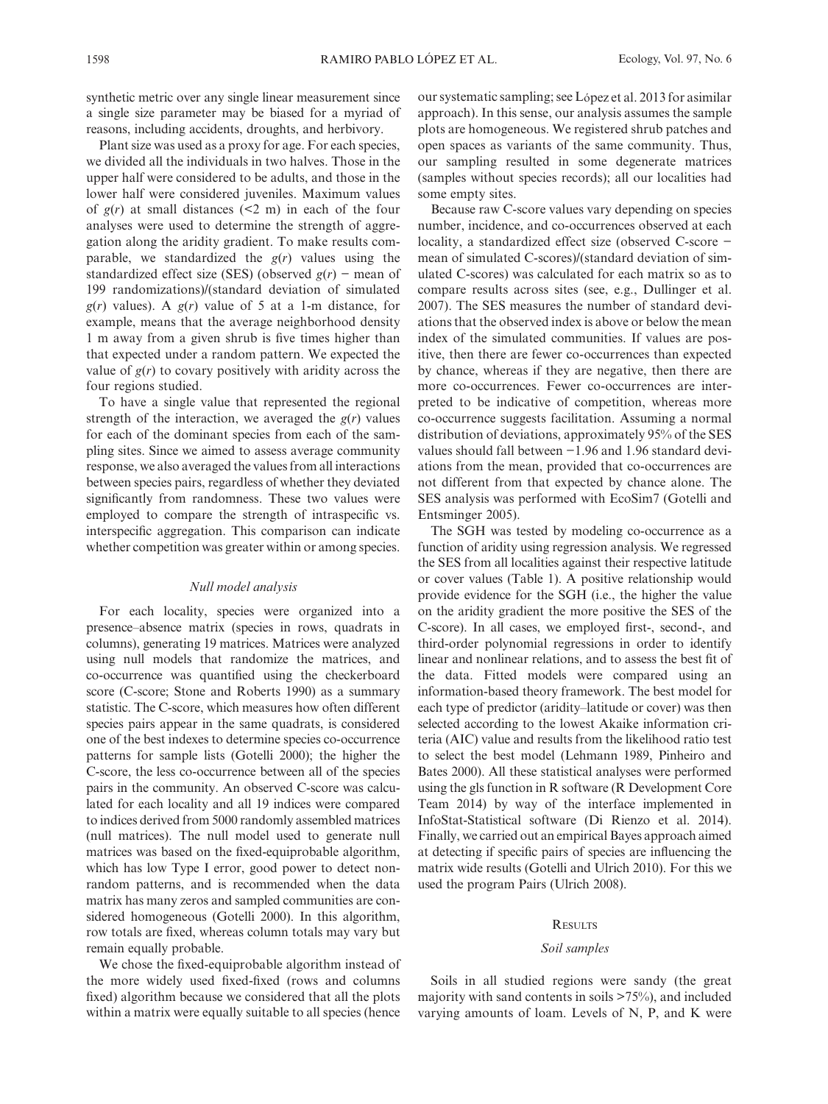synthetic metric over any single linear measurement since a single size parameter may be biased for a myriad of reasons, including accidents, droughts, and herbivory.

Plant size was used as a proxy for age. For each species, we divided all the individuals in two halves. Those in the upper half were considered to be adults, and those in the lower half were considered juveniles. Maximum values of  $g(r)$  at small distances  $(\leq 2 \text{ m})$  in each of the four analyses were used to determine the strength of aggregation along the aridity gradient. To make results comparable, we standardized the *g*(*r*) values using the standardized effect size (SES) (observed *g*(*r*) − mean of 199 randomizations)/(standard deviation of simulated  $g(r)$  values). A  $g(r)$  value of 5 at a 1-m distance, for example, means that the average neighborhood density 1 m away from a given shrub is five times higher than that expected under a random pattern. We expected the value of  $g(r)$  to covary positively with aridity across the four regions studied.

To have a single value that represented the regional strength of the interaction, we averaged the  $g(r)$  values for each of the dominant species from each of the sampling sites. Since we aimed to assess average community response, we also averaged the values from all interactions between species pairs, regardless of whether they deviated significantly from randomness. These two values were employed to compare the strength of intraspecific vs. interspecific aggregation. This comparison can indicate whether competition was greater within or among species.

#### *Null model analysis*

For each locality, species were organized into a presence–absence matrix (species in rows, quadrats in columns), generating 19 matrices. Matrices were analyzed using null models that randomize the matrices, and co-occurrence was quantified using the checkerboard score (C-score; Stone and Roberts 1990) as a summary statistic. The C-score, which measures how often different species pairs appear in the same quadrats, is considered one of the best indexes to determine species co-occurrence patterns for sample lists (Gotelli 2000); the higher the C-score, the less co-occurrence between all of the species pairs in the community. An observed C-score was calculated for each locality and all 19 indices were compared to indices derived from 5000 randomly assembled matrices (null matrices). The null model used to generate null matrices was based on the fixed-equiprobable algorithm, which has low Type I error, good power to detect nonrandom patterns, and is recommended when the data matrix has many zeros and sampled communities are considered homogeneous (Gotelli 2000). In this algorithm, row totals are fixed, whereas column totals may vary but remain equally probable.

We chose the fixed-equiprobable algorithm instead of the more widely used fixed-fixed (rows and columns fixed) algorithm because we considered that all the plots within a matrix were equally suitable to all species (hence

our systematic sampling; see López et al. 2013 for asimilar approach). In this sense, our analysis assumes the sample plots are homogeneous. We registered shrub patches and open spaces as variants of the same community. Thus, our sampling resulted in some degenerate matrices (samples without species records); all our localities had some empty sites.

Because raw C-score values vary depending on species number, incidence, and co-occurrences observed at each locality, a standardized effect size (observed C-score − mean of simulated C-scores)/(standard deviation of simulated C-scores) was calculated for each matrix so as to compare results across sites (see, e.g., Dullinger et al. 2007). The SES measures the number of standard deviations that the observed index is above or below the mean index of the simulated communities. If values are positive, then there are fewer co-occurrences than expected by chance, whereas if they are negative, then there are more co-occurrences. Fewer co-occurrences are interpreted to be indicative of competition, whereas more co-occurrence suggests facilitation. Assuming a normal distribution of deviations, approximately 95% of the SES values should fall between −1.96 and 1.96 standard deviations from the mean, provided that co-occurrences are not different from that expected by chance alone. The SES analysis was performed with EcoSim7 (Gotelli and Entsminger 2005).

The SGH was tested by modeling co-occurrence as a function of aridity using regression analysis. We regressed the SES from all localities against their respective latitude or cover values (Table 1). A positive relationship would provide evidence for the SGH (i.e., the higher the value on the aridity gradient the more positive the SES of the C-score). In all cases, we employed first-, second-, and third-order polynomial regressions in order to identify linear and nonlinear relations, and to assess the best fit of the data. Fitted models were compared using an information-based theory framework. The best model for each type of predictor (aridity–latitude or cover) was then selected according to the lowest Akaike information criteria (AIC) value and results from the likelihood ratio test to select the best model (Lehmann 1989, Pinheiro and Bates 2000). All these statistical analyses were performed using the gls function in R software (R Development Core Team 2014) by way of the interface implemented in InfoStat-Statistical software (Di Rienzo et al. 2014). Finally, we carried out an empirical Bayes approach aimed at detecting if specific pairs of species are influencing the matrix wide results (Gotelli and Ulrich 2010). For this we used the program Pairs (Ulrich 2008).

#### **RESULTS**

## *Soil samples*

Soils in all studied regions were sandy (the great majority with sand contents in soils >75%), and included varying amounts of loam. Levels of N, P, and K were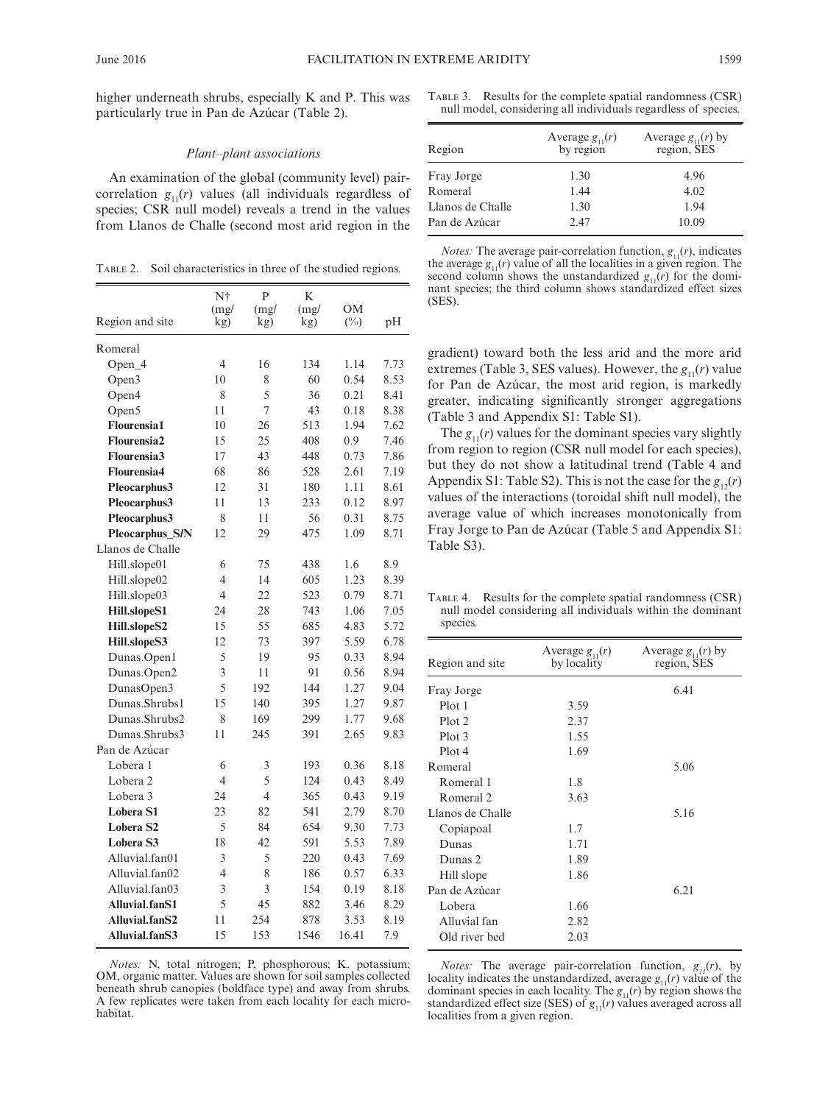higher underneath shrubs, especially K and P. This was particularly true in Pan de Azúcar (Table 2).

*Plant–plant associations* An examination of the global (community level) paircorrelation  $g_{11}(r)$  values (all individuals regardless of species; CSR null model) reveals a trend in the values from Llanos de Challe (second most arid region in the Table 3. Results for the complete spatial randomness (CSR) null model, considering all individuals regardless of species.

| Region           | Average $g_{11}(r)$<br>by region | Average $g_{11}(r)$ by<br>region, SES |
|------------------|----------------------------------|---------------------------------------|
| Fray Jorge       | 1.30                             | 4.96                                  |
| Romeral          | 144                              | 4.02                                  |
| Llanos de Challe | 1.30                             | 1.94                                  |
| Pan de Azúcar    | 2.47                             | 10.09                                 |

TABLE 2. Soil characteristics in three of the studied regions.

|                       | Νt             | P              | K           |              |      |
|-----------------------|----------------|----------------|-------------|--------------|------|
| Region and site       | (mg)<br>kg)    | (mg)<br>kg)    | (mg)<br>kg) | OΜ<br>$(\%)$ | pH   |
|                       |                |                |             |              |      |
| Romeral               |                |                |             |              |      |
| Open_4                | $\overline{4}$ | 16             | 134         | 1.14         | 7.73 |
| Open3                 | 10             | 8              | 60          | 0.54         | 8.53 |
| Open4                 | 8              | 5              | 36          | 0.21         | 8.41 |
| Open5                 | 11             | 7              | 43          | 0.18         | 8.38 |
| <b>Flourensia1</b>    | 10             | 26             | 513         | 1.94         | 7.62 |
| <b>Flourensia2</b>    | 15             | 25             | 408         | 0.9          | 7.46 |
| <b>Flourensia3</b>    | 17             | 43             | 448         | 0.73         | 7.86 |
| <b>Flourensia4</b>    | 68             | 86             | 528         | 2.61         | 7.19 |
| Pleocarphus3          | 12             | 31             | 180         | 1.11         | 8.61 |
| Pleocarphus3          | 11             | 13             | 233         | 0.12         | 8.97 |
| Pleocarphus3          | 8              | 11             | 56          | 0.31         | 8.75 |
| Pleocarphus_S/N       | 12             | 29             | 475         | 1.09         | 8.71 |
| Llanos de Challe      |                |                |             |              |      |
| Hill.slope01          | 6              | 75             | 438         | 1.6          | 8.9  |
| Hill.slope02          | 4              | 14             | 605         | 1.23         | 8.39 |
| Hill.slope03          | 4              | 22             | 523         | 0.79         | 8.71 |
| Hill.slopeS1          | 24             | 28             | 743         | 1.06         | 7.05 |
| Hill.slopeS2          | 15             | 55             | 685         | 4.83         | 5.72 |
| Hill.slopeS3          | 12             | 73             | 397         | 5.59         | 6.78 |
| Dunas.Open1           | 5              | 19             | 95          | 0.33         | 8.94 |
| Dunas.Open2           | 3              | 11             | 91          | 0.56         | 8.94 |
| DunasOpen3            | 5              | 192            | 144         | 1.27         | 9.04 |
| Dunas.Shrubs1         | 15             | 140            | 395         | 1.27         | 9.87 |
| Dunas.Shrubs2         | 8              | 169            | 299         | 1.77         | 9.68 |
| Dunas.Shrubs3         | 11             | 245            | 391         | 2.65         | 9.83 |
| Pan de Azúcar         |                |                |             |              |      |
| Lobera 1              | 6              | 3              | 193         | 0.36         | 8.18 |
| Lobera 2              | 4              | 5              | 124         | 0.43         | 8.49 |
| Lobera 3              | 24             | $\overline{4}$ | 365         | 0.43         | 9.19 |
| Lobera S1             | 23             | 82             | 541         | 2.79         | 8.70 |
| Lobera S <sub>2</sub> | 5              | 84             | 654         | 9.30         | 7.73 |
| Lobera S3             | 18             | 42             | 591         | 5.53         | 7.89 |
| Alluvial.fan01        | 3              | 5              | 220         | 0.43         | 7.69 |
| Alluvial.fan02        | 4              | 8              | 186         | 0.57         | 6.33 |
| Alluvial.fan03        | 3              | 3              | 154         | 0.19         | 8.18 |
| Alluvial.fanS1        | 5              | 45             | 882         | 3.46         | 8.29 |
| Alluvial.fanS2        | 11             | 254            | 878         | 3.53         | 8.19 |
| Alluvial.fanS3        | 15             | 153            | 1546        | 16.41        | 7.9  |

*Notes:* N, total nitrogen; P, phosphorous; K. potassium; OM, organic matter. Values are shown for soil samples collected beneath shrub canopies (boldface type) and away from shrubs. A few replicates were taken from each locality for each microhabitat.

*Notes:* The average pair-correlation function,  $g_{11}(r)$ , indicates the average  $g_{11}(r)$  value of all the localities in a given region. The second column shows the unstandardized  $g_{11}(r)$  for the dominant species; the third column shows standardized effect sizes (SES).

gradient) toward both the less arid and the more arid extremes (Table 3, SES values). However, the  $g_{11}(r)$  value for Pan de Azúcar, the most arid region, is markedly greater, indicating significantly stronger aggregations (Table 3 and Appendix S1: Table S1).

The  $g_{11}(r)$  values for the dominant species vary slightly from region to region (CSR null model for each species), but they do not show a latitudinal trend (Table 4 and Appendix S1: Table S2). This is not the case for the  $g_{12}(r)$ values of the interactions (toroidal shift null model), the average value of which increases monotonically from Fray Jorge to Pan de Azúcar (Table 5 and Appendix S1: Table S3).

TABLE 4. Results for the complete spatial randomness (CSR) null model considering all individuals within the dominant species.

| Region and site   | Average $g_{11}(r)$<br>by locality | Average $g_{11}(r)$ by<br>region, SES |
|-------------------|------------------------------------|---------------------------------------|
| Fray Jorge        |                                    | 6.41                                  |
| Plot <sub>1</sub> | 3.59                               |                                       |
| Plot <sub>2</sub> | 2.37                               |                                       |
| Plot <sub>3</sub> | 1.55                               |                                       |
| Plot 4            | 1.69                               |                                       |
| Romeral           |                                    | 5.06                                  |
| Romeral 1         | 1.8                                |                                       |
| Romeral 2         | 3.63                               |                                       |
| Llanos de Challe  |                                    | 5.16                                  |
| Copiapoal         | 1.7                                |                                       |
| Dunas             | 1.71                               |                                       |
| Dunas 2           | 1.89                               |                                       |
| Hill slope        | 1.86                               |                                       |
| Pan de Azúcar     |                                    | 6.21                                  |
| Lobera            | 1.66                               |                                       |
| Alluvial fan      | 2.82                               |                                       |
| Old river bed     | 2.03                               |                                       |

*Notes:* The average pair-correlation function,  $g_{11}(r)$ , by locality indicates the unstandardized, average  $g_{11}(r)$  value of the dominant species in each locality. The  $g_{11}(r)$  by region shows the standardized effect size (SES) of  $g_{11}(r)$  values averaged across all localities from a given region.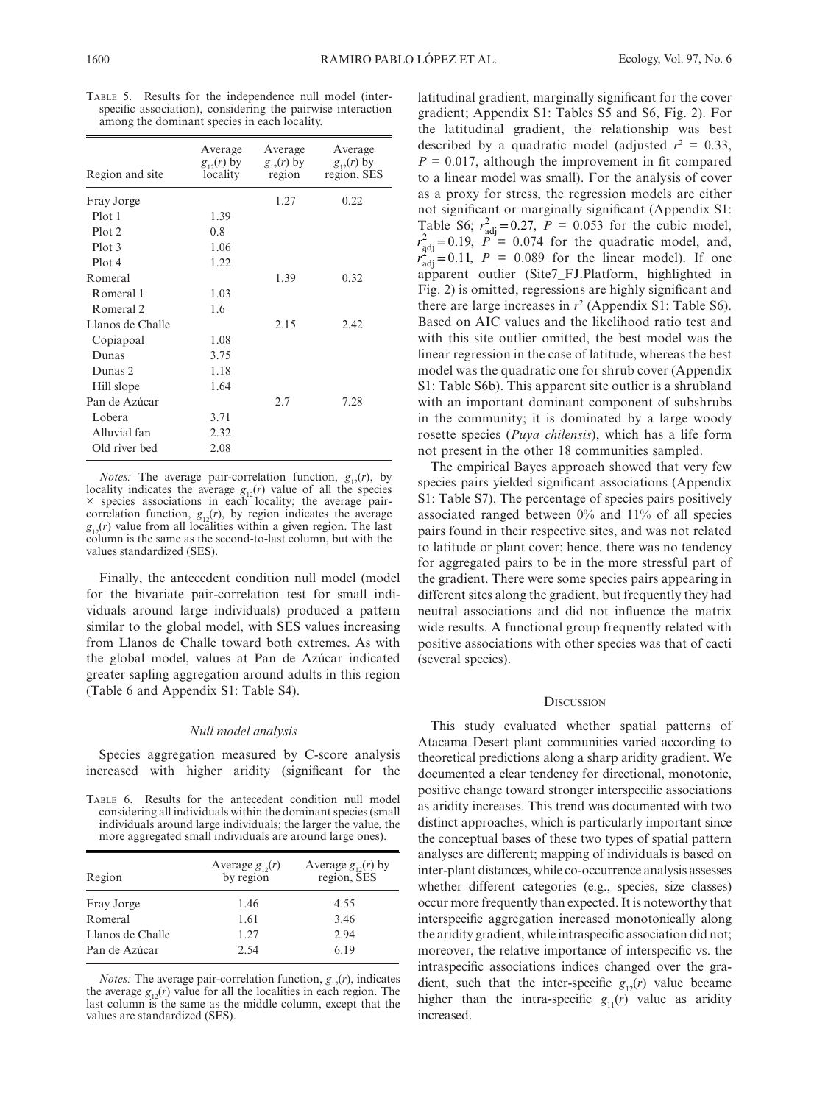Table 5. Results for the independence null model (interspecific association), considering the pairwise interaction among the dominant species in each locality.

| Region and site   | Average<br>$g_{12}(r)$ by<br>locality | Average<br>$g_{12}(r)$ by<br>region | Average<br>$g_{12}(r)$ by<br>region, SES |
|-------------------|---------------------------------------|-------------------------------------|------------------------------------------|
| Fray Jorge        |                                       | 1.27                                | 0.22                                     |
| Plot 1            | 1.39                                  |                                     |                                          |
| Plot <sub>2</sub> | 0.8                                   |                                     |                                          |
| Plot <sub>3</sub> | 1.06                                  |                                     |                                          |
| Plot 4            | 1.22                                  |                                     |                                          |
| Romeral           |                                       | 1.39                                | 0.32                                     |
| Romeral 1         | 1.03                                  |                                     |                                          |
| Romeral 2         | 1.6                                   |                                     |                                          |
| Llanos de Challe  |                                       | 2.15                                | 2.42                                     |
| Copiapoal         | 1.08                                  |                                     |                                          |
| Dunas             | 3.75                                  |                                     |                                          |
| Dunas 2           | 1.18                                  |                                     |                                          |
| Hill slope        | 1.64                                  |                                     |                                          |
| Pan de Azúcar     |                                       | 2.7                                 | 7.28                                     |
| Lobera            | 3.71                                  |                                     |                                          |
| Alluvial fan      | 2.32                                  |                                     |                                          |
| Old river bed     | 2.08                                  |                                     |                                          |

*Notes:* The average pair-correlation function,  $g_{12}(r)$ , by locality indicates the average  $g_{12}(r)$  value of all the species  $\times$  species associations in each locality; the average paircorrelation function,  $g_{12}(r)$ , by region indicates the average  $g_{12}(r)$  value from all localities within a given region. The last column is the same as the second-to-last column, but with the values standardized (SES).

Finally, the antecedent condition null model (model for the bivariate pair-correlation test for small individuals around large individuals) produced a pattern similar to the global model, with SES values increasing from Llanos de Challe toward both extremes. As with the global model, values at Pan de Azúcar indicated greater sapling aggregation around adults in this region (Table 6 and Appendix S1: Table S4).

# *Null model analysis*

Species aggregation measured by C-score analysis increased with higher aridity (significant for the

Table 6. Results for the antecedent condition null model considering all individuals within the dominant species (small individuals around large individuals; the larger the value, the more aggregated small individuals are around large ones).

| Region           | Average $g_{12}(r)$<br>by region | Average $g_{12}(r)$ by<br>region, SES |
|------------------|----------------------------------|---------------------------------------|
| Fray Jorge       | 1.46                             | 4.55                                  |
| Romeral          | 1.61                             | 3.46                                  |
| Llanos de Challe | 1.27                             | 2.94                                  |
| Pan de Azúcar    | 2.54                             | 6.19                                  |

*Notes:* The average pair-correlation function,  $g_{12}(r)$ , indicates the average  $g_{12}(r)$  value for all the localities in each region. The last column is the same as the middle column, except that the values are standardized (SES).

latitudinal gradient, marginally significant for the cover gradient; Appendix S1: Tables S5 and S6, Fig. 2). For the latitudinal gradient, the relationship was best described by a quadratic model (adjusted  $r^2 = 0.33$ ,  $P = 0.017$ , although the improvement in fit compared to a linear model was small). For the analysis of cover as a proxy for stress, the regression models are either not significant or marginally significant (Appendix S1: Table S6;  $r_{\text{adj}}^2 = 0.27$ ,  $P = 0.053$  for the cubic model,  $r_{\text{adj}}^2 = 0.19$ ,  $P = 0.074$  for the quadratic model, and,  $r_{\text{adj}}^{\text{2}} = 0.11$ ,  $P = 0.089$  for the linear model). If one apparent outlier (Site7\_FJ.Platform, highlighted in Fig. 2) is omitted, regressions are highly significant and there are large increases in  $r^2$  (Appendix S1: Table S6). Based on AIC values and the likelihood ratio test and with this site outlier omitted, the best model was the linear regression in the case of latitude, whereas the best model was the quadratic one for shrub cover (Appendix S1: Table S6b). This apparent site outlier is a shrubland with an important dominant component of subshrubs in the community; it is dominated by a large woody rosette species (*Puya chilensis*), which has a life form not present in the other 18 communities sampled.

The empirical Bayes approach showed that very few species pairs yielded significant associations (Appendix S1: Table S7). The percentage of species pairs positively associated ranged between 0% and 11% of all species pairs found in their respective sites, and was not related to latitude or plant cover; hence, there was no tendency for aggregated pairs to be in the more stressful part of the gradient. There were some species pairs appearing in different sites along the gradient, but frequently they had neutral associations and did not influence the matrix wide results. A functional group frequently related with positive associations with other species was that of cacti (several species).

#### **DISCUSSION**

This study evaluated whether spatial patterns of Atacama Desert plant communities varied according to theoretical predictions along a sharp aridity gradient. We documented a clear tendency for directional, monotonic, positive change toward stronger interspecific associations as aridity increases. This trend was documented with two distinct approaches, which is particularly important since the conceptual bases of these two types of spatial pattern analyses are different; mapping of individuals is based on inter-plant distances, while co-occurrence analysis assesses whether different categories (e.g., species, size classes) occur more frequently than expected. It is noteworthy that interspecific aggregation increased monotonically along the aridity gradient, while intraspecific association did not; moreover, the relative importance of interspecific vs. the intraspecific associations indices changed over the gradient, such that the inter-specific  $g_{12}(r)$  value became higher than the intra-specific  $g_{11}(r)$  value as aridity increased.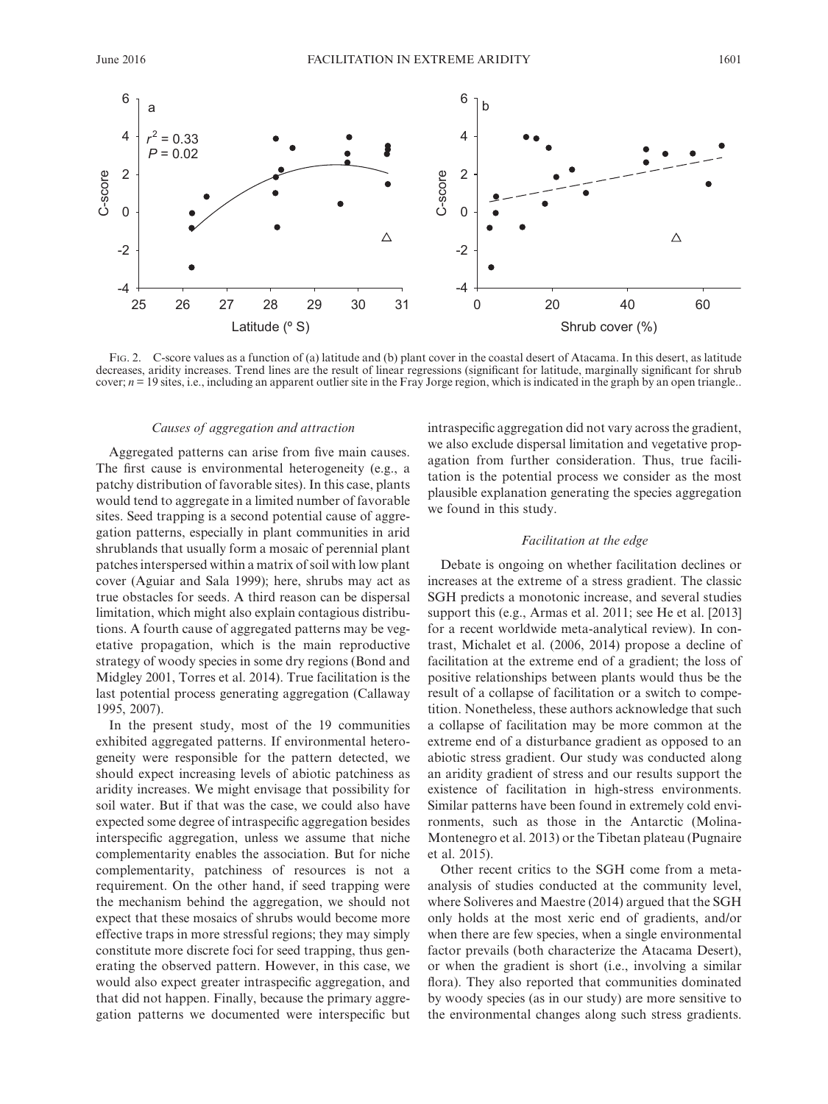

Fig. 2. C-score values as a function of (a) latitude and (b) plant cover in the coastal desert of Atacama. In this desert, as latitude decreases, aridity increases. Trend lines are the result of linear regressions (significant for latitude, marginally significant for shrub cover;  $n = 19$  sites, i.e., including an apparent outlier site in the Fray Jorge region, which is indicated in the graph by an open triangle..

#### *Causes of aggregation and attraction*

Aggregated patterns can arise from five main causes. The first cause is environmental heterogeneity (e.g., a patchy distribution of favorable sites). In this case, plants would tend to aggregate in a limited number of favorable sites. Seed trapping is a second potential cause of aggregation patterns, especially in plant communities in arid shrublands that usually form a mosaic of perennial plant patches interspersed within a matrix of soil with low plant cover (Aguiar and Sala 1999); here, shrubs may act as true obstacles for seeds. A third reason can be dispersal limitation, which might also explain contagious distributions. A fourth cause of aggregated patterns may be vegetative propagation, which is the main reproductive strategy of woody species in some dry regions (Bond and Midgley 2001, Torres et al. 2014). True facilitation is the last potential process generating aggregation (Callaway 1995, 2007).

In the present study, most of the 19 communities exhibited aggregated patterns. If environmental heterogeneity were responsible for the pattern detected, we should expect increasing levels of abiotic patchiness as aridity increases. We might envisage that possibility for soil water. But if that was the case, we could also have expected some degree of intraspecific aggregation besides interspecific aggregation, unless we assume that niche complementarity enables the association. But for niche complementarity, patchiness of resources is not a requirement. On the other hand, if seed trapping were the mechanism behind the aggregation, we should not expect that these mosaics of shrubs would become more effective traps in more stressful regions; they may simply constitute more discrete foci for seed trapping, thus generating the observed pattern. However, in this case, we would also expect greater intraspecific aggregation, and that did not happen. Finally, because the primary aggregation patterns we documented were interspecific but intraspecific aggregation did not vary across the gradient, we also exclude dispersal limitation and vegetative propagation from further consideration. Thus, true facilitation is the potential process we consider as the most plausible explanation generating the species aggregation we found in this study.

## *Facilitation at the edge*

Debate is ongoing on whether facilitation declines or increases at the extreme of a stress gradient. The classic SGH predicts a monotonic increase, and several studies support this (e.g., Armas et al. 2011; see He et al. [2013] for a recent worldwide meta-analytical review). In contrast, Michalet et al. (2006, 2014) propose a decline of facilitation at the extreme end of a gradient; the loss of positive relationships between plants would thus be the result of a collapse of facilitation or a switch to competition. Nonetheless, these authors acknowledge that such a collapse of facilitation may be more common at the extreme end of a disturbance gradient as opposed to an abiotic stress gradient. Our study was conducted along an aridity gradient of stress and our results support the existence of facilitation in high-stress environments. Similar patterns have been found in extremely cold environments, such as those in the Antarctic (Molina-Montenegro et al. 2013) or the Tibetan plateau (Pugnaire et al. 2015).

Other recent critics to the SGH come from a metaanalysis of studies conducted at the community level, where Soliveres and Maestre (2014) argued that the SGH only holds at the most xeric end of gradients, and/or when there are few species, when a single environmental factor prevails (both characterize the Atacama Desert), or when the gradient is short (i.e., involving a similar flora). They also reported that communities dominated by woody species (as in our study) are more sensitive to the environmental changes along such stress gradients.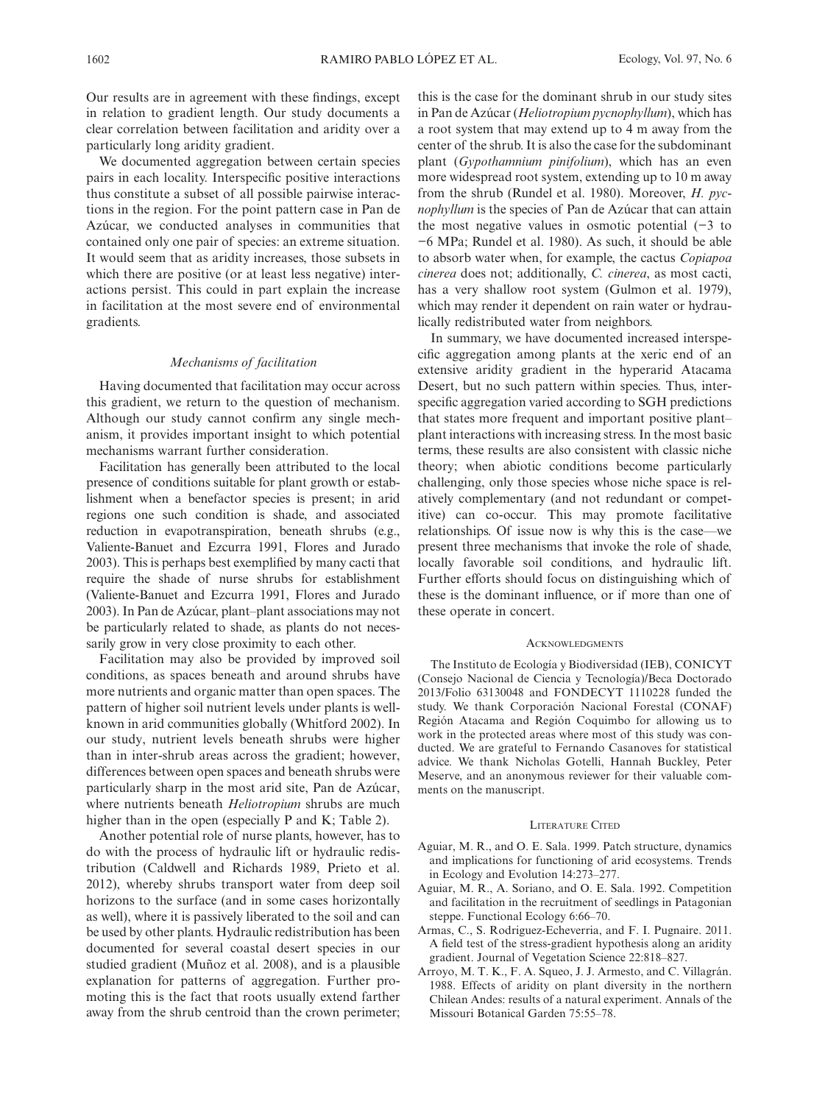Our results are in agreement with these findings, except in relation to gradient length. Our study documents a clear correlation between facilitation and aridity over a particularly long aridity gradient.

We documented aggregation between certain species pairs in each locality. Interspecific positive interactions thus constitute a subset of all possible pairwise interactions in the region. For the point pattern case in Pan de Azúcar, we conducted analyses in communities that contained only one pair of species: an extreme situation. It would seem that as aridity increases, those subsets in which there are positive (or at least less negative) interactions persist. This could in part explain the increase in facilitation at the most severe end of environmental gradients.

# *Mechanisms of facilitation*

Having documented that facilitation may occur across this gradient, we return to the question of mechanism. Although our study cannot confirm any single mechanism, it provides important insight to which potential mechanisms warrant further consideration.

Facilitation has generally been attributed to the local presence of conditions suitable for plant growth or establishment when a benefactor species is present; in arid regions one such condition is shade, and associated reduction in evapotranspiration, beneath shrubs (e.g., Valiente-Banuet and Ezcurra 1991, Flores and Jurado 2003). This is perhaps best exemplified by many cacti that require the shade of nurse shrubs for establishment (Valiente-Banuet and Ezcurra 1991, Flores and Jurado 2003). In Pan de Azúcar, plant–plant associations may not be particularly related to shade, as plants do not necessarily grow in very close proximity to each other.

Facilitation may also be provided by improved soil conditions, as spaces beneath and around shrubs have more nutrients and organic matter than open spaces. The pattern of higher soil nutrient levels under plants is wellknown in arid communities globally (Whitford 2002). In our study, nutrient levels beneath shrubs were higher than in inter-shrub areas across the gradient; however, differences between open spaces and beneath shrubs were particularly sharp in the most arid site, Pan de Azúcar, where nutrients beneath *Heliotropium* shrubs are much higher than in the open (especially P and K; Table 2).

Another potential role of nurse plants, however, has to do with the process of hydraulic lift or hydraulic redistribution (Caldwell and Richards 1989, Prieto et al. 2012), whereby shrubs transport water from deep soil horizons to the surface (and in some cases horizontally as well), where it is passively liberated to the soil and can be used by other plants. Hydraulic redistribution has been documented for several coastal desert species in our studied gradient (Muñoz et al. 2008), and is a plausible explanation for patterns of aggregation. Further promoting this is the fact that roots usually extend farther away from the shrub centroid than the crown perimeter; this is the case for the dominant shrub in our study sites in Pan de Azúcar (*Heliotropium pycnophyllum*), which has a root system that may extend up to 4 m away from the center of the shrub. It is also the case for the subdominant plant (*Gypothamnium pinifolium*), which has an even more widespread root system, extending up to 10 m away from the shrub (Rundel et al. 1980). Moreover, *H. pycnophyllum* is the species of Pan de Azúcar that can attain the most negative values in osmotic potential (−3 to −6 MPa; Rundel et al. 1980). As such, it should be able to absorb water when, for example, the cactus *Copiapoa cinerea* does not; additionally, *C. cinerea*, as most cacti, has a very shallow root system (Gulmon et al. 1979), which may render it dependent on rain water or hydraulically redistributed water from neighbors.

In summary, we have documented increased interspecific aggregation among plants at the xeric end of an extensive aridity gradient in the hyperarid Atacama Desert, but no such pattern within species. Thus, interspecific aggregation varied according to SGH predictions that states more frequent and important positive plant– plant interactions with increasing stress. In the most basic terms, these results are also consistent with classic niche theory; when abiotic conditions become particularly challenging, only those species whose niche space is relatively complementary (and not redundant or competitive) can co-occur. This may promote facilitative relationships. Of issue now is why this is the case—we present three mechanisms that invoke the role of shade, locally favorable soil conditions, and hydraulic lift. Further efforts should focus on distinguishing which of these is the dominant influence, or if more than one of these operate in concert.

#### **ACKNOWLEDGMENTS**

The Instituto de Ecología y Biodiversidad (IEB), CONICYT (Consejo Nacional de Ciencia y Tecnología)/Beca Doctorado 2013/Folio 63130048 and FONDECYT 1110228 funded the study. We thank Corporación Nacional Forestal (CONAF) Región Atacama and Región Coquimbo for allowing us to work in the protected areas where most of this study was conducted. We are grateful to Fernando Casanoves for statistical advice. We thank Nicholas Gotelli, Hannah Buckley, Peter Meserve, and an anonymous reviewer for their valuable comments on the manuscript.

#### LITERATURE CITED

- Aguiar, M. R., and O. E. Sala. 1999. Patch structure, dynamics and implications for functioning of arid ecosystems. Trends in Ecology and Evolution 14:273–277.
- Aguiar, M. R., A. Soriano, and O. E. Sala. 1992. Competition and facilitation in the recruitment of seedlings in Patagonian steppe. Functional Ecology 6:66–70.
- Armas, C., S. Rodriguez-Echeverria, and F. I. Pugnaire. 2011. A field test of the stress-gradient hypothesis along an aridity gradient. Journal of Vegetation Science 22:818–827.
- Arroyo, M. T. K., F. A. Squeo, J. J. Armesto, and C. Villagrán. 1988. Effects of aridity on plant diversity in the northern Chilean Andes: results of a natural experiment. Annals of the Missouri Botanical Garden 75:55–78.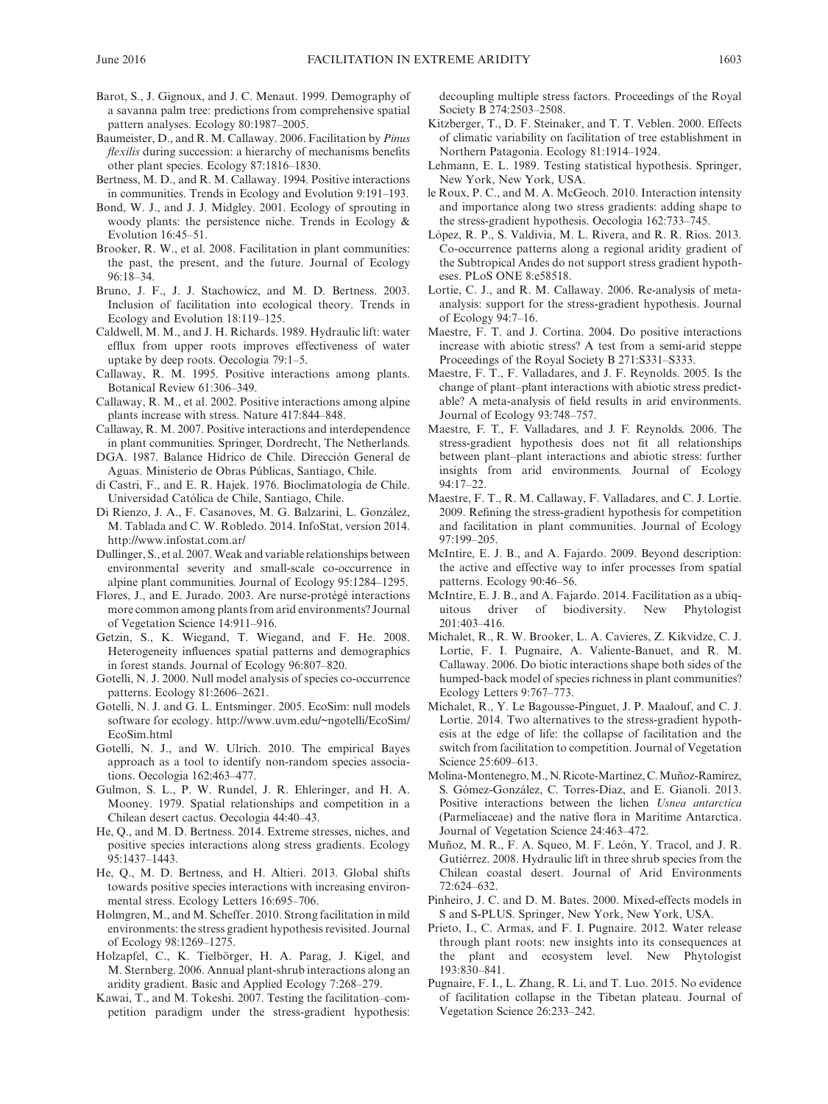- Barot, S., J. Gignoux, and J. C. Menaut. 1999. Demography of a savanna palm tree: predictions from comprehensive spatial pattern analyses. Ecology 80:1987–2005.
- Baumeister, D., and R. M. Callaway. 2006. Facilitation by *Pinus flexilis* during succession: a hierarchy of mechanisms benefits other plant species. Ecology 87:1816–1830.
- Bertness, M. D., and R. M. Callaway. 1994. Positive interactions in communities. Trends in Ecology and Evolution 9:191–193.
- Bond, W. J., and J. J. Midgley. 2001. Ecology of sprouting in woody plants: the persistence niche. Trends in Ecology & Evolution 16:45–51.
- Brooker, R. W., et al. 2008. Facilitation in plant communities: the past, the present, and the future. Journal of Ecology 96:18–34.
- Bruno, J. F., J. J. Stachowicz, and M. D. Bertness. 2003. Inclusion of facilitation into ecological theory. Trends in Ecology and Evolution 18:119–125.
- Caldwell, M. M., and J. H. Richards. 1989. Hydraulic lift: water efflux from upper roots improves effectiveness of water uptake by deep roots. Oecologia 79:1–5.
- Callaway, R. M. 1995. Positive interactions among plants. Botanical Review 61:306–349.
- Callaway, R. M., et al. 2002. Positive interactions among alpine plants increase with stress. Nature 417:844–848.
- Callaway, R. M. 2007. Positive interactions and interdependence in plant communities. Springer, Dordrecht, The Netherlands.
- DGA. 1987. Balance Hídrico de Chile. Dirección General de Aguas. Ministerio de Obras Públicas, Santiago, Chile.
- di Castri, F., and E. R. Hajek. 1976. Bioclimatología de Chile. Universidad Católica de Chile, Santiago, Chile.
- Di Rienzo, J. A., F. Casanoves, M. G. Balzarini, L. González, M. Tablada and C. W. Robledo. 2014. InfoStat, version 2014. <http://www.infostat.com.ar/>
- Dullinger, S., et al. 2007. Weak and variable relationships between environmental severity and small-scale co-occurrence in alpine plant communities. Journal of Ecology 95:1284–1295.
- Flores, J., and E. Jurado. 2003. Are nurse-protégé interactions more common among plants from arid environments? Journal of Vegetation Science 14:911–916.
- Getzin, S., K. Wiegand, T. Wiegand, and F. He. 2008. Heterogeneity influences spatial patterns and demographics in forest stands. Journal of Ecology 96:807–820.
- Gotelli, N. J. 2000. Null model analysis of species co-occurrence patterns. Ecology 81:2606–2621.
- Gotelli, N. J. and G. L. Entsminger. 2005. EcoSim: null models software for ecology. [http://www.uvm.edu/~ngotelli/EcoSim/](http://www.uvm.edu/~ngotelli/EcoSim/EcoSim.html) [EcoSim.html](http://www.uvm.edu/~ngotelli/EcoSim/EcoSim.html)
- Gotelli, N. J., and W. Ulrich. 2010. The empirical Bayes approach as a tool to identify non-random species associations. Oecologia 162:463–477.
- Gulmon, S. L., P. W. Rundel, J. R. Ehleringer, and H. A. Mooney. 1979. Spatial relationships and competition in a Chilean desert cactus. Oecologia 44:40–43.
- He, Q., and M. D. Bertness. 2014. Extreme stresses, niches, and positive species interactions along stress gradients. Ecology 95:1437–1443.
- He, Q., M. D. Bertness, and H. Altieri. 2013. Global shifts towards positive species interactions with increasing environmental stress. Ecology Letters 16:695–706.
- Holmgren, M., and M. Scheffer. 2010. Strong facilitation in mild environments: the stress gradient hypothesis revisited. Journal of Ecology 98:1269–1275.
- Holzapfel, C., K. Tielbörger, H. A. Parag, J. Kigel, and M. Sternberg. 2006. Annual plant-shrub interactions along an aridity gradient. Basic and Applied Ecology 7:268–279.
- Kawai, T., and M. Tokeshi. 2007. Testing the facilitation–competition paradigm under the stress-gradient hypothesis:

decoupling multiple stress factors. Proceedings of the Royal Society B 274:2503–2508.

- Kitzberger, T., D. F. Steinaker, and T. T. Veblen. 2000. Effects of climatic variability on facilitation of tree establishment in Northern Patagonia. Ecology 81:1914–1924.
- Lehmann, E. L. 1989. Testing statistical hypothesis. Springer, New York, New York, USA.
- le Roux, P. C., and M. A. McGeoch. 2010. Interaction intensity and importance along two stress gradients: adding shape to the stress-gradient hypothesis. Oecologia 162:733–745.
- López, R. P., S. Valdivia, M. L. Rivera, and R. R. Rios. 2013. Co-occurrence patterns along a regional aridity gradient of the Subtropical Andes do not support stress gradient hypotheses. PLoS ONE 8:e58518.
- Lortie, C. J., and R. M. Callaway. 2006. Re-analysis of metaanalysis: support for the stress-gradient hypothesis. Journal of Ecology 94:7–16.
- Maestre, F. T. and J. Cortina. 2004. Do positive interactions increase with abiotic stress? A test from a semi-arid steppe Proceedings of the Royal Society B 271:S331–S333.
- Maestre, F. T., F. Valladares, and J. F. Reynolds. 2005. Is the change of plant–plant interactions with abiotic stress predictable? A meta-analysis of field results in arid environments. Journal of Ecology 93:748–757.
- Maestre, F. T., F. Valladares, and J. F. Reynolds. 2006. The stress-gradient hypothesis does not fit all relationships between plant–plant interactions and abiotic stress: further insights from arid environments. Journal of Ecology 94:17–22.
- Maestre, F. T., R. M. Callaway, F. Valladares, and C. J. Lortie. 2009. Refining the stress-gradient hypothesis for competition and facilitation in plant communities. Journal of Ecology 97:199–205.
- McIntire, E. J. B., and A. Fajardo. 2009. Beyond description: the active and effective way to infer processes from spatial patterns. Ecology 90:46–56.
- McIntire, E. J. B., and A. Fajardo. 2014. Facilitation as a ubiquitous driver of biodiversity. New Phytologist 201:403–416.
- Michalet, R., R. W. Brooker, L. A. Cavieres, Z. Kikvidze, C. J. Lortie, F. I. Pugnaire, A. Valiente-Banuet, and R. M. Callaway. 2006. Do biotic interactions shape both sides of the humped-back model of species richness in plant communities? Ecology Letters 9:767–773.
- Michalet, R., Y. Le Bagousse-Pinguet, J. P. Maalouf, and C. J. Lortie. 2014. Two alternatives to the stress-gradient hypothesis at the edge of life: the collapse of facilitation and the switch from facilitation to competition. Journal of Vegetation Science 25:609–613.
- Molina-Montenegro, M., N. Ricote-Martínez, C. Muñoz-Ramírez, S. Gómez-González, C. Torres-Díaz, and E. Gianoli. 2013. Positive interactions between the lichen *Usnea antarctica* (Parmeliaceae) and the native flora in Maritime Antarctica. Journal of Vegetation Science 24:463–472.
- Muñoz, M. R., F. A. Squeo, M. F. León, Y. Tracol, and J. R. Gutiérrez. 2008. Hydraulic lift in three shrub species from the Chilean coastal desert. Journal of Arid Environments 72:624–632.
- Pinheiro, J. C. and D. M. Bates. 2000. Mixed-effects models in S and S-PLUS. Springer, New York, New York, USA.
- Prieto, I., C. Armas, and F. I. Pugnaire. 2012. Water release through plant roots: new insights into its consequences at the plant and ecosystem level. New Phytologist 193:830–841.
- Pugnaire, F. I., L. Zhang, R. Li, and T. Luo. 2015. No evidence of facilitation collapse in the Tibetan plateau. Journal of Vegetation Science 26:233–242.